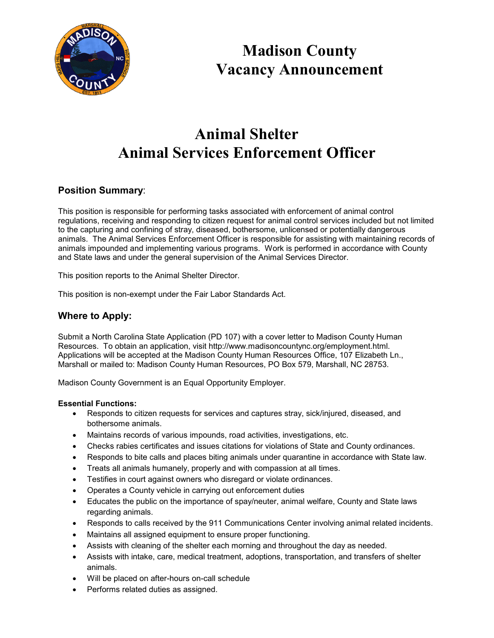

**Madison County Vacancy Announcement**

# **Animal Shelter Animal Services Enforcement Officer**

# **Position Summary**:

This position is responsible for performing tasks associated with enforcement of animal control regulations, receiving and responding to citizen request for animal control services included but not limited to the capturing and confining of stray, diseased, bothersome, unlicensed or potentially dangerous animals. The Animal Services Enforcement Officer is responsible for assisting with maintaining records of animals impounded and implementing various programs. Work is performed in accordance with County and State laws and under the general supervision of the Animal Services Director.

This position reports to the Animal Shelter Director.

This position is non-exempt under the Fair Labor Standards Act.

# **Where to Apply:**

Submit a North Carolina State Application (PD 107) with a cover letter to Madison County Human Resources. To obtain an application, visit http://www.madisoncountync.org/employment.html. Applications will be accepted at the Madison County Human Resources Office, 107 Elizabeth Ln., Marshall or mailed to: Madison County Human Resources, PO Box 579, Marshall, NC 28753.

Madison County Government is an Equal Opportunity Employer.

#### **Essential Functions:**

- Responds to citizen requests for services and captures stray, sick/injured, diseased, and bothersome animals.
- Maintains records of various impounds, road activities, investigations, etc.
- Checks rabies certificates and issues citations for violations of State and County ordinances.
- Responds to bite calls and places biting animals under quarantine in accordance with State law.
- Treats all animals humanely, properly and with compassion at all times.
- Testifies in court against owners who disregard or violate ordinances.
- Operates a County vehicle in carrying out enforcement duties
- Educates the public on the importance of spay/neuter, animal welfare, County and State laws regarding animals.
- Responds to calls received by the 911 Communications Center involving animal related incidents.
- Maintains all assigned equipment to ensure proper functioning.
- Assists with cleaning of the shelter each morning and throughout the day as needed.
- Assists with intake, care, medical treatment, adoptions, transportation, and transfers of shelter animals.
- Will be placed on after-hours on-call schedule
- Performs related duties as assigned.